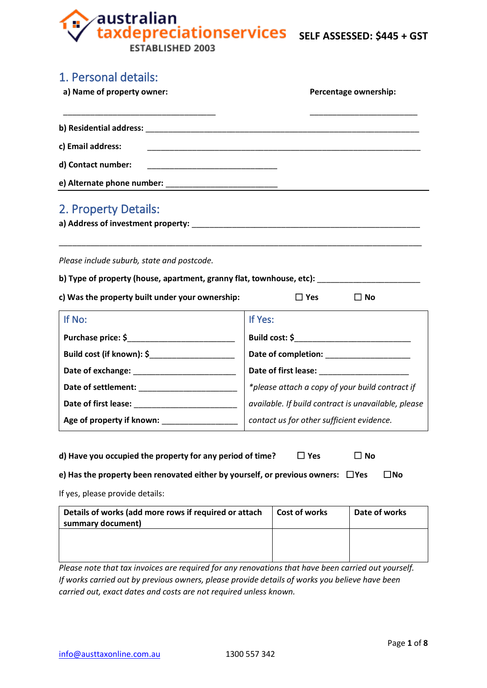australian<br>taxdepreciationservices sELF ASSESSED: \$445 + GST

ESTABLISHED 2003

A

| 1. Personal details:                                                                                                                                                                                                                                                       |                                                                                                                                                                                                                               |               |                       |                                                       |
|----------------------------------------------------------------------------------------------------------------------------------------------------------------------------------------------------------------------------------------------------------------------------|-------------------------------------------------------------------------------------------------------------------------------------------------------------------------------------------------------------------------------|---------------|-----------------------|-------------------------------------------------------|
| a) Name of property owner:                                                                                                                                                                                                                                                 |                                                                                                                                                                                                                               |               | Percentage ownership: |                                                       |
|                                                                                                                                                                                                                                                                            |                                                                                                                                                                                                                               |               |                       |                                                       |
| c) Email address:                                                                                                                                                                                                                                                          |                                                                                                                                                                                                                               |               |                       |                                                       |
| d) Contact number:                                                                                                                                                                                                                                                         |                                                                                                                                                                                                                               |               |                       |                                                       |
|                                                                                                                                                                                                                                                                            |                                                                                                                                                                                                                               |               |                       |                                                       |
| 2. Property Details:<br>a) Address of investment property: <b>Analyzia and Contact and Contact and Contact and Contact and Contact and Co</b>                                                                                                                              |                                                                                                                                                                                                                               |               |                       |                                                       |
| Please include suburb, state and postcode.                                                                                                                                                                                                                                 |                                                                                                                                                                                                                               |               |                       |                                                       |
| b) Type of property (house, apartment, granny flat, townhouse, etc):                                                                                                                                                                                                       |                                                                                                                                                                                                                               |               |                       |                                                       |
| c) Was the property built under your ownership:                                                                                                                                                                                                                            |                                                                                                                                                                                                                               | $\square$ Yes | $\Box$ No             |                                                       |
| If No:                                                                                                                                                                                                                                                                     | If Yes:                                                                                                                                                                                                                       |               |                       |                                                       |
|                                                                                                                                                                                                                                                                            |                                                                                                                                                                                                                               |               |                       |                                                       |
|                                                                                                                                                                                                                                                                            |                                                                                                                                                                                                                               |               |                       |                                                       |
|                                                                                                                                                                                                                                                                            | Date of first lease: National Property of the set of the set of the set of the set of the set of the set of the set of the set of the set of the set of the set of the set of the set of the set of the set of the set of the |               |                       |                                                       |
|                                                                                                                                                                                                                                                                            |                                                                                                                                                                                                                               |               |                       | $\ast$ please attach a copy of your build contract if |
|                                                                                                                                                                                                                                                                            |                                                                                                                                                                                                                               |               |                       | available. If build contract is unavailable, please   |
| Age of property if known:                                                                                                                                                                                                                                                  | contact us for other sufficient evidence.                                                                                                                                                                                     |               |                       |                                                       |
| d) Have you occupied the property for any period of time?                                                                                                                                                                                                                  |                                                                                                                                                                                                                               | $\square$ Yes | $\Box$ No             |                                                       |
| e) Has the property been renovated either by yourself, or previous owners: $\Box$ Yes                                                                                                                                                                                      |                                                                                                                                                                                                                               |               |                       | $\square$ No                                          |
| If yes, please provide details:                                                                                                                                                                                                                                            |                                                                                                                                                                                                                               |               |                       |                                                       |
| Details of works (add more rows if required or attach<br>summary document)                                                                                                                                                                                                 |                                                                                                                                                                                                                               | Cost of works |                       | Date of works                                         |
|                                                                                                                                                                                                                                                                            |                                                                                                                                                                                                                               |               |                       |                                                       |
| Please note that tax invoices are required for any renovations that have been carried out yourself.<br>If works carried out by previous owners, please provide details of works you believe have been<br>carried out, exact dates and costs are not required unless known. |                                                                                                                                                                                                                               |               |                       |                                                       |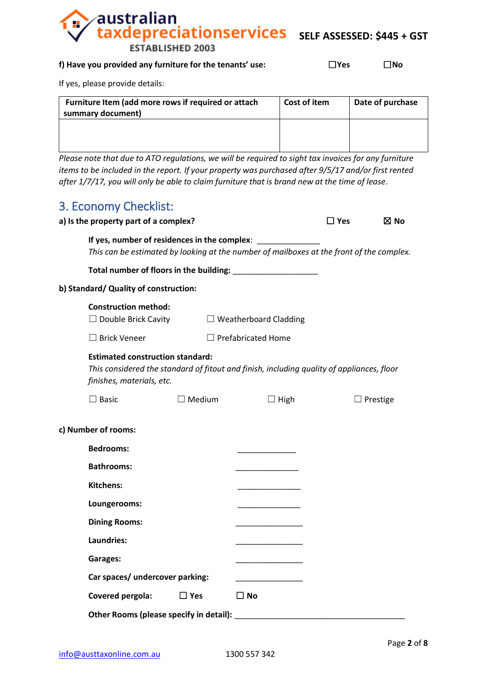**EXAMPLE ASSESSED:** \$445 + GST

#### **f) Have you provided any furniture for the tenants' use:** ☐**Yes** ☐**No**

**ESTABLISHED 2003** 

australian

If yes, please provide details:

*Please note that due to ATO regulations, we will be required to sight tax invoices for any furniture items to be included in the report. If your property was purchased after 9/5/17 and/or first rented after 1/7/17, you will only be able to claim furniture that is brand new at the time of lease.*

# 3. Economy Checklist:

| a) is the property part of a complex?                                |               |                                                                                                                                                          | $\square$ Yes | $\boxtimes$ No  |
|----------------------------------------------------------------------|---------------|----------------------------------------------------------------------------------------------------------------------------------------------------------|---------------|-----------------|
|                                                                      |               | If yes, number of residences in the complex: _______________<br>This can be estimated by looking at the number of mailboxes at the front of the complex. |               |                 |
|                                                                      |               |                                                                                                                                                          |               |                 |
| b) Standard/ Quality of construction:                                |               |                                                                                                                                                          |               |                 |
| <b>Construction method:</b><br>$\Box$ Double Brick Cavity            |               | $\Box$ Weatherboard Cladding                                                                                                                             |               |                 |
| $\Box$ Brick Veneer                                                  |               | $\Box$ Prefabricated Home                                                                                                                                |               |                 |
| <b>Estimated construction standard:</b><br>finishes, materials, etc. |               | This considered the standard of fitout and finish, including quality of appliances, floor                                                                |               |                 |
| $\Box$ Basic                                                         | $\Box$ Medium | $\Box$ High                                                                                                                                              |               | $\Box$ Prestige |
| c) Number of rooms:                                                  |               |                                                                                                                                                          |               |                 |
| <b>Bedrooms:</b>                                                     |               |                                                                                                                                                          |               |                 |
| <b>Bathrooms:</b>                                                    |               |                                                                                                                                                          |               |                 |
| <b>Kitchens:</b>                                                     |               |                                                                                                                                                          |               |                 |
| Loungerooms:                                                         |               |                                                                                                                                                          |               |                 |
| <b>Dining Rooms:</b>                                                 |               |                                                                                                                                                          |               |                 |
| Laundries:                                                           |               |                                                                                                                                                          |               |                 |
| Garages:                                                             |               |                                                                                                                                                          |               |                 |
| Car spaces/ undercover parking:                                      |               |                                                                                                                                                          |               |                 |
| Covered pergola:                                                     | $\Box$ Yes    | $\square$ No                                                                                                                                             |               |                 |
| Other Rooms (please specify in detail):                              |               |                                                                                                                                                          |               |                 |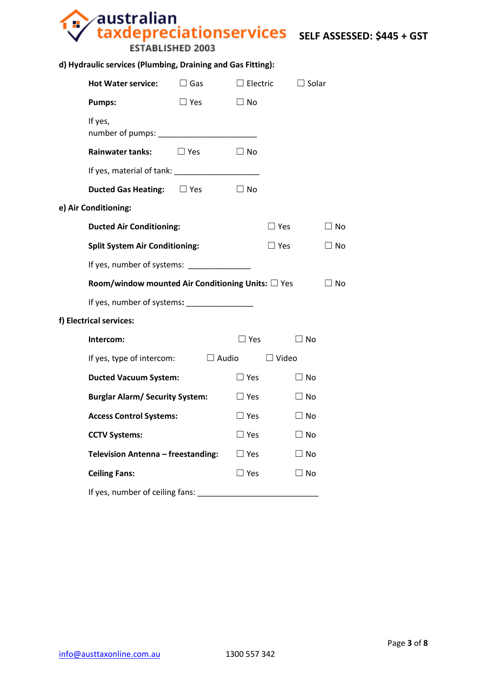# **SELF ASSESSED: \$445 + GST**

## **d) Hydraulic services (Plumbing, Draining and Gas Fitting):**

**ESTABLISHED 2003** 

| <b>Hot Water service:</b>                                 | $\Box$ Gas | $\Box$ Electric |              | $\Box$ Solar |
|-----------------------------------------------------------|------------|-----------------|--------------|--------------|
| <b>Pumps:</b>                                             | $\Box$ Yes | $\Box$ No       |              |              |
| If yes,                                                   |            |                 |              |              |
| <b>Rainwater tanks:</b>                                   | $\Box$ Yes | $\Box$ No       |              |              |
|                                                           |            |                 |              |              |
| <b>Ducted Gas Heating:</b> □ Yes                          |            | $\Box$ No       |              |              |
| e) Air Conditioning:                                      |            |                 |              |              |
| <b>Ducted Air Conditioning:</b>                           |            |                 | $\Box$ Yes   | $\Box$ No    |
| <b>Split System Air Conditioning:</b>                     |            |                 | $\Box$ Yes   | $\Box$ No    |
| If yes, number of systems: _______________                |            |                 |              |              |
| Room/window mounted Air Conditioning Units: $\square$ Yes |            |                 |              | $\Box$ No    |
| If yes, number of systems: ________________               |            |                 |              |              |
| f) Electrical services:                                   |            |                 |              |              |
| Intercom:                                                 |            | $\Box$ Yes      |              | $\square$ No |
| If yes, type of intercom:                                 |            | $\Box$ Audio    | $\Box$ Video |              |
| <b>Ducted Vacuum System:</b>                              |            | $\square$ Yes   |              | $\Box$ No    |
| <b>Burglar Alarm/ Security System:</b>                    |            | $\Box$ Yes      |              | $\square$ No |
| <b>Access Control Systems:</b>                            |            | $\Box$ Yes      |              | $\Box$ No    |
| <b>CCTV Systems:</b>                                      |            | $\Box$ Yes      |              | $\square$ No |
| Television Antenna - freestanding:                        |            | $\Box$ Yes      |              | $\square$ No |
| <b>Ceiling Fans:</b>                                      |            | $\Box$ Yes      |              | $\Box$ No    |
| If yes, number of ceiling fans: _____                     |            |                 |              |              |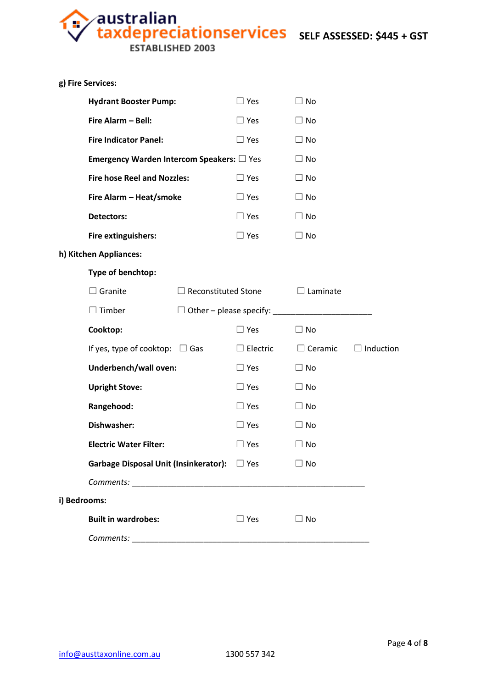**Australian<br>taxdepreciationservices** sELF ASSESSED: \$445 + GST

ESTABLISHED 2003

Ŧ

| $\Box$ Yes<br>$\Box$ No<br><b>Hydrant Booster Pump:</b><br>Fire Alarm - Bell:<br>$\Box$ No<br>$\Box$ Yes<br><b>Fire Indicator Panel:</b><br>$\Box$ Yes<br>$\Box$ No<br><b>Emergency Warden Intercom Speakers:</b> $\square$ Yes<br>$\Box$ No<br><b>Fire hose Reel and Nozzles:</b><br>$\Box$ Yes<br>$\Box$ No<br>Fire Alarm - Heat/smoke<br>$\Box$ Yes<br>$\Box$ No<br>$\Box$ No<br><b>Detectors:</b><br>$\Box$ Yes<br>Fire extinguishers:<br>$\Box$ Yes<br>$\Box$ No<br>h) Kitchen Appliances:<br>Type of benchtop:<br>$\Box$ Granite<br>$\Box$ Reconstituted Stone<br>$\Box$ Laminate<br>$\Box$ Timber<br>$\Box$ Other – please specify:<br>Cooktop:<br>$\Box$ Yes<br>$\Box$ No<br>If yes, type of cooktop: $\Box$ Gas<br>$\Box$ Electric<br>$\Box$ Ceramic<br>Underbench/wall oven:<br>$\Box$ No<br>$\Box$ Yes<br><b>Upright Stove:</b><br>$\Box$ Yes<br>$\Box$ No<br>Rangehood:<br>$\Box$ Yes<br>$\Box$ No<br>Dishwasher:<br>$\Box$ Yes<br>$\Box$ No<br>$\square$ Yes<br>$\Box$ No<br><b>Electric Water Filter:</b><br>Garbage Disposal Unit (Insinkerator): □ Yes<br>$\Box$ No<br>i) Bedrooms:<br><b>Built in wardrobes:</b><br>$\Box$ Yes<br>$\Box$ No |  | g) Fire Services: |  |  |  |                  |
|--------------------------------------------------------------------------------------------------------------------------------------------------------------------------------------------------------------------------------------------------------------------------------------------------------------------------------------------------------------------------------------------------------------------------------------------------------------------------------------------------------------------------------------------------------------------------------------------------------------------------------------------------------------------------------------------------------------------------------------------------------------------------------------------------------------------------------------------------------------------------------------------------------------------------------------------------------------------------------------------------------------------------------------------------------------------------------------------------------------------------------------------------------------|--|-------------------|--|--|--|------------------|
|                                                                                                                                                                                                                                                                                                                                                                                                                                                                                                                                                                                                                                                                                                                                                                                                                                                                                                                                                                                                                                                                                                                                                              |  |                   |  |  |  |                  |
|                                                                                                                                                                                                                                                                                                                                                                                                                                                                                                                                                                                                                                                                                                                                                                                                                                                                                                                                                                                                                                                                                                                                                              |  |                   |  |  |  |                  |
|                                                                                                                                                                                                                                                                                                                                                                                                                                                                                                                                                                                                                                                                                                                                                                                                                                                                                                                                                                                                                                                                                                                                                              |  |                   |  |  |  |                  |
|                                                                                                                                                                                                                                                                                                                                                                                                                                                                                                                                                                                                                                                                                                                                                                                                                                                                                                                                                                                                                                                                                                                                                              |  |                   |  |  |  |                  |
|                                                                                                                                                                                                                                                                                                                                                                                                                                                                                                                                                                                                                                                                                                                                                                                                                                                                                                                                                                                                                                                                                                                                                              |  |                   |  |  |  |                  |
|                                                                                                                                                                                                                                                                                                                                                                                                                                                                                                                                                                                                                                                                                                                                                                                                                                                                                                                                                                                                                                                                                                                                                              |  |                   |  |  |  |                  |
|                                                                                                                                                                                                                                                                                                                                                                                                                                                                                                                                                                                                                                                                                                                                                                                                                                                                                                                                                                                                                                                                                                                                                              |  |                   |  |  |  |                  |
|                                                                                                                                                                                                                                                                                                                                                                                                                                                                                                                                                                                                                                                                                                                                                                                                                                                                                                                                                                                                                                                                                                                                                              |  |                   |  |  |  |                  |
|                                                                                                                                                                                                                                                                                                                                                                                                                                                                                                                                                                                                                                                                                                                                                                                                                                                                                                                                                                                                                                                                                                                                                              |  |                   |  |  |  |                  |
|                                                                                                                                                                                                                                                                                                                                                                                                                                                                                                                                                                                                                                                                                                                                                                                                                                                                                                                                                                                                                                                                                                                                                              |  |                   |  |  |  |                  |
|                                                                                                                                                                                                                                                                                                                                                                                                                                                                                                                                                                                                                                                                                                                                                                                                                                                                                                                                                                                                                                                                                                                                                              |  |                   |  |  |  |                  |
|                                                                                                                                                                                                                                                                                                                                                                                                                                                                                                                                                                                                                                                                                                                                                                                                                                                                                                                                                                                                                                                                                                                                                              |  |                   |  |  |  |                  |
|                                                                                                                                                                                                                                                                                                                                                                                                                                                                                                                                                                                                                                                                                                                                                                                                                                                                                                                                                                                                                                                                                                                                                              |  |                   |  |  |  |                  |
|                                                                                                                                                                                                                                                                                                                                                                                                                                                                                                                                                                                                                                                                                                                                                                                                                                                                                                                                                                                                                                                                                                                                                              |  |                   |  |  |  | $\Box$ Induction |
|                                                                                                                                                                                                                                                                                                                                                                                                                                                                                                                                                                                                                                                                                                                                                                                                                                                                                                                                                                                                                                                                                                                                                              |  |                   |  |  |  |                  |
|                                                                                                                                                                                                                                                                                                                                                                                                                                                                                                                                                                                                                                                                                                                                                                                                                                                                                                                                                                                                                                                                                                                                                              |  |                   |  |  |  |                  |
|                                                                                                                                                                                                                                                                                                                                                                                                                                                                                                                                                                                                                                                                                                                                                                                                                                                                                                                                                                                                                                                                                                                                                              |  |                   |  |  |  |                  |
|                                                                                                                                                                                                                                                                                                                                                                                                                                                                                                                                                                                                                                                                                                                                                                                                                                                                                                                                                                                                                                                                                                                                                              |  |                   |  |  |  |                  |
|                                                                                                                                                                                                                                                                                                                                                                                                                                                                                                                                                                                                                                                                                                                                                                                                                                                                                                                                                                                                                                                                                                                                                              |  |                   |  |  |  |                  |
|                                                                                                                                                                                                                                                                                                                                                                                                                                                                                                                                                                                                                                                                                                                                                                                                                                                                                                                                                                                                                                                                                                                                                              |  |                   |  |  |  |                  |
|                                                                                                                                                                                                                                                                                                                                                                                                                                                                                                                                                                                                                                                                                                                                                                                                                                                                                                                                                                                                                                                                                                                                                              |  |                   |  |  |  |                  |
|                                                                                                                                                                                                                                                                                                                                                                                                                                                                                                                                                                                                                                                                                                                                                                                                                                                                                                                                                                                                                                                                                                                                                              |  |                   |  |  |  |                  |
|                                                                                                                                                                                                                                                                                                                                                                                                                                                                                                                                                                                                                                                                                                                                                                                                                                                                                                                                                                                                                                                                                                                                                              |  |                   |  |  |  |                  |
|                                                                                                                                                                                                                                                                                                                                                                                                                                                                                                                                                                                                                                                                                                                                                                                                                                                                                                                                                                                                                                                                                                                                                              |  |                   |  |  |  |                  |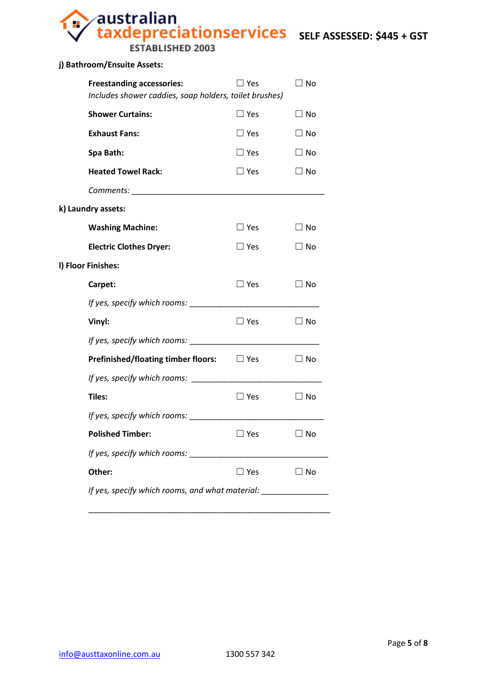**Sustralian<br>Taxdepreciationservices** SELF ASSESSED: \$445 + GST

**ESTABLISHED 2003** 

#### **j) Bathroom/Ensuite Assets:**

| <b>Freestanding accessories:</b><br>Includes shower caddies, soap holders, toilet brushes) | $\Box$ Yes    | $\Box$ No    |
|--------------------------------------------------------------------------------------------|---------------|--------------|
| <b>Shower Curtains:</b>                                                                    | $\square$ Yes | $\square$ No |
| <b>Exhaust Fans:</b>                                                                       | $\square$ Yes | $\Box$ No    |
| Spa Bath:                                                                                  | $\square$ Yes | $\Box$ No    |
| <b>Heated Towel Rack:</b>                                                                  | $\square$ Yes | $\Box$ No    |
|                                                                                            |               |              |
| k) Laundry assets:                                                                         |               |              |
| <b>Washing Machine:</b>                                                                    | $\square$ Yes | $\Box$ No    |
| <b>Electric Clothes Dryer:</b>                                                             | $\Box$ Yes    | $\Box$ No    |
| I) Floor Finishes:                                                                         |               |              |
| Carpet:                                                                                    | $\square$ Yes | $\square$ No |
|                                                                                            |               |              |
| Vinyl:                                                                                     | $\square$ Yes | $\Box$ No    |
| If yes, specify which rooms:                                                               |               |              |
| <b>Prefinished/floating timber floors:</b> $\Box$ Yes                                      |               | $\Box$ No    |
|                                                                                            |               |              |
| Tiles:                                                                                     | $\Box$ Yes    | $\square$ No |
|                                                                                            |               |              |
| <b>Polished Timber:</b>                                                                    | $\Box$ Yes    | $\Box$ No    |
|                                                                                            |               |              |
| Other:                                                                                     | $\square$ Yes | $\square$ No |
| If yes, specify which rooms, and what material:                                            |               |              |
|                                                                                            |               |              |

\_\_\_\_\_\_\_\_\_\_\_\_\_\_\_\_\_\_\_\_\_\_\_\_\_\_\_\_\_\_\_\_\_\_\_\_\_\_\_\_\_\_\_\_\_\_\_\_\_\_\_\_\_\_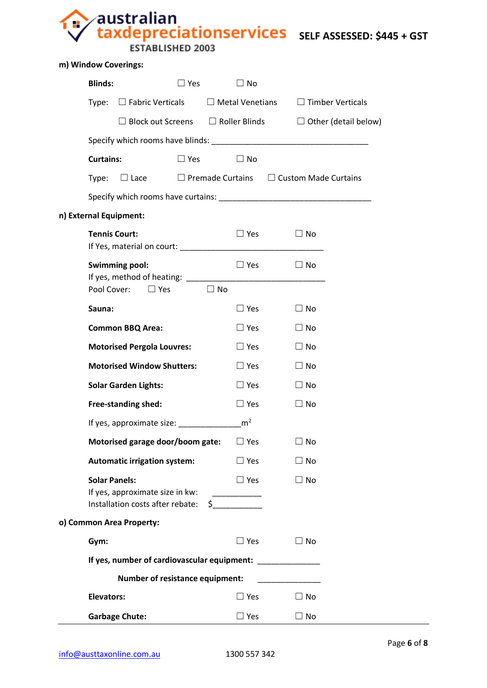**Australian<br>taxdepreciationservices** sELF ASSESSED: \$445 + GST

ESTABLISHED 2003

a.

| m) Window Coverings:     |                                                                                             |                             |                                                                 |  |  |  |
|--------------------------|---------------------------------------------------------------------------------------------|-----------------------------|-----------------------------------------------------------------|--|--|--|
| <b>Blinds:</b>           | $\Box$ Yes                                                                                  | $\square$ No                |                                                                 |  |  |  |
| Type:                    | $\Box$ Fabric Verticals                                                                     | $\Box$ Metal Venetians      | $\Box$ Timber Verticals                                         |  |  |  |
|                          | $\Box$ Block out Screens $\Box$ Roller Blinds                                               |                             | $\Box$ Other (detail below)                                     |  |  |  |
|                          |                                                                                             |                             |                                                                 |  |  |  |
| <b>Curtains:</b>         | $\Box$ Yes                                                                                  | $\Box$ No                   |                                                                 |  |  |  |
| Type:                    |                                                                                             |                             | $\Box$ Lace $\Box$ Premade Curtains $\Box$ Custom Made Curtains |  |  |  |
|                          |                                                                                             |                             |                                                                 |  |  |  |
| n) External Equipment:   |                                                                                             |                             |                                                                 |  |  |  |
|                          | <b>Tennis Court:</b>                                                                        | $\Box$ Yes                  | $\Box$ No                                                       |  |  |  |
|                          | <b>Swimming pool:</b>                                                                       | $\Box$ Yes                  | $\Box$ No                                                       |  |  |  |
|                          | Pool Cover: □ Yes                                                                           | $\Box$ No                   |                                                                 |  |  |  |
| Sauna:                   |                                                                                             | $\square$ Yes               | $\Box$ No                                                       |  |  |  |
|                          | <b>Common BBQ Area:</b>                                                                     | $\Box$ Yes                  | $\Box$ No                                                       |  |  |  |
|                          | <b>Motorised Pergola Louvres:</b>                                                           | $\Box$ Yes                  | $\Box$ No                                                       |  |  |  |
|                          | <b>Motorised Window Shutters:</b>                                                           | $\Box$ Yes                  | $\Box$ No                                                       |  |  |  |
|                          | <b>Solar Garden Lights:</b>                                                                 | $\Box$ Yes                  | $\Box$ No                                                       |  |  |  |
|                          | Free-standing shed:                                                                         | $\Box$ Yes                  | $\Box$ No                                                       |  |  |  |
|                          | If yes, approximate size:                                                                   | m <sup>2</sup>              |                                                                 |  |  |  |
|                          | Motorised garage door/boom gate:                                                            | $\Box$ Yes                  | $\Box$ No                                                       |  |  |  |
|                          | <b>Automatic irrigation system:</b>                                                         | $\Box$ Yes                  | $\Box$ No                                                       |  |  |  |
|                          | <b>Solar Panels:</b><br>If yes, approximate size in kw:<br>Installation costs after rebate: | $\Box$ Yes<br>$\sim$ $\sim$ | $\square$ No                                                    |  |  |  |
| o) Common Area Property: |                                                                                             |                             |                                                                 |  |  |  |
| Gym:                     |                                                                                             | $\square$ Yes               | $\Box$ No                                                       |  |  |  |
|                          | If yes, number of cardiovascular equipment:                                                 |                             |                                                                 |  |  |  |
|                          | <b>Number of resistance equipment:</b>                                                      |                             |                                                                 |  |  |  |
| <b>Elevators:</b>        |                                                                                             | $\square$ Yes               | $\Box$ No                                                       |  |  |  |
|                          | <b>Garbage Chute:</b>                                                                       | $\square$ Yes               | $\square$ No                                                    |  |  |  |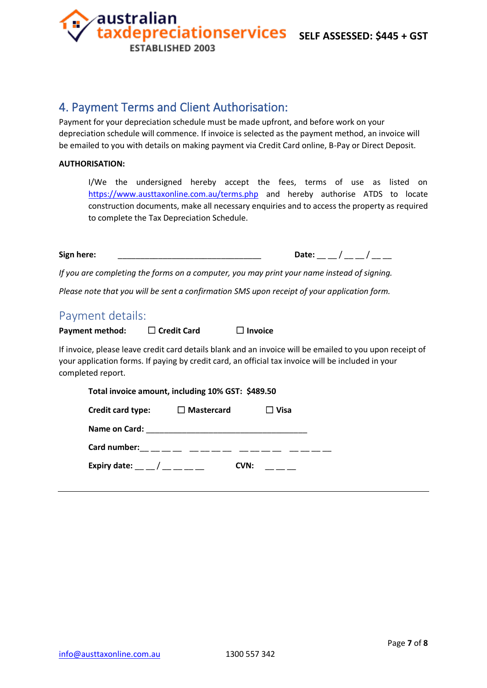**EXAMPLE ASSESSED:** \$445 + GST

# 4. Payment Terms and Client Authorisation:

**ESTABLISHED 2003** 

australian

Payment for your depreciation schedule must be made upfront, and before work on your depreciation schedule will commence. If invoice is selected as the payment method, an invoice will be emailed to you with details on making payment via Credit Card online, B-Pay or Direct Deposit.

#### **AUTHORISATION:**

I/We the undersigned hereby accept the fees, terms of use as listed on <https://www.austtaxonline.com.au/terms.php> and hereby authorise ATDS to locate construction documents, make all necessary enquiries and to access the property as required to complete the Tax Depreciation Schedule.

**Sign here:** \_\_\_\_\_\_\_\_\_\_\_\_\_\_\_\_\_\_\_\_\_\_\_\_\_\_\_\_\_\_\_\_ **Date:** \_\_ \_\_ / \_\_ \_\_ / \_\_ \_\_

*If you are completing the forms on a computer, you may print your name instead of signing.* 

*Please note that you will be sent a confirmation SMS upon receipt of your application form.*

## Payment details:

| <b>Payment method:</b> | $\Box$ Credit Card | $\Box$ Invoice |
|------------------------|--------------------|----------------|
|------------------------|--------------------|----------------|

If invoice, please leave credit card details blank and an invoice will be emailed to you upon receipt of your application forms. If paying by credit card, an official tax invoice will be included in your completed report.

| Total invoice amount, including 10% GST: \$489.50 |                                            |             |  |  |
|---------------------------------------------------|--------------------------------------------|-------------|--|--|
| Credit card type:                                 | $\Box$ Mastercard                          | $\Box$ Visa |  |  |
| Name on Card:                                     |                                            |             |  |  |
|                                                   | Card number: __ __ __ __ __ __ __ __ __ __ |             |  |  |
| Expiry date: $\sqrt{2.7}$                         | CVN:                                       |             |  |  |